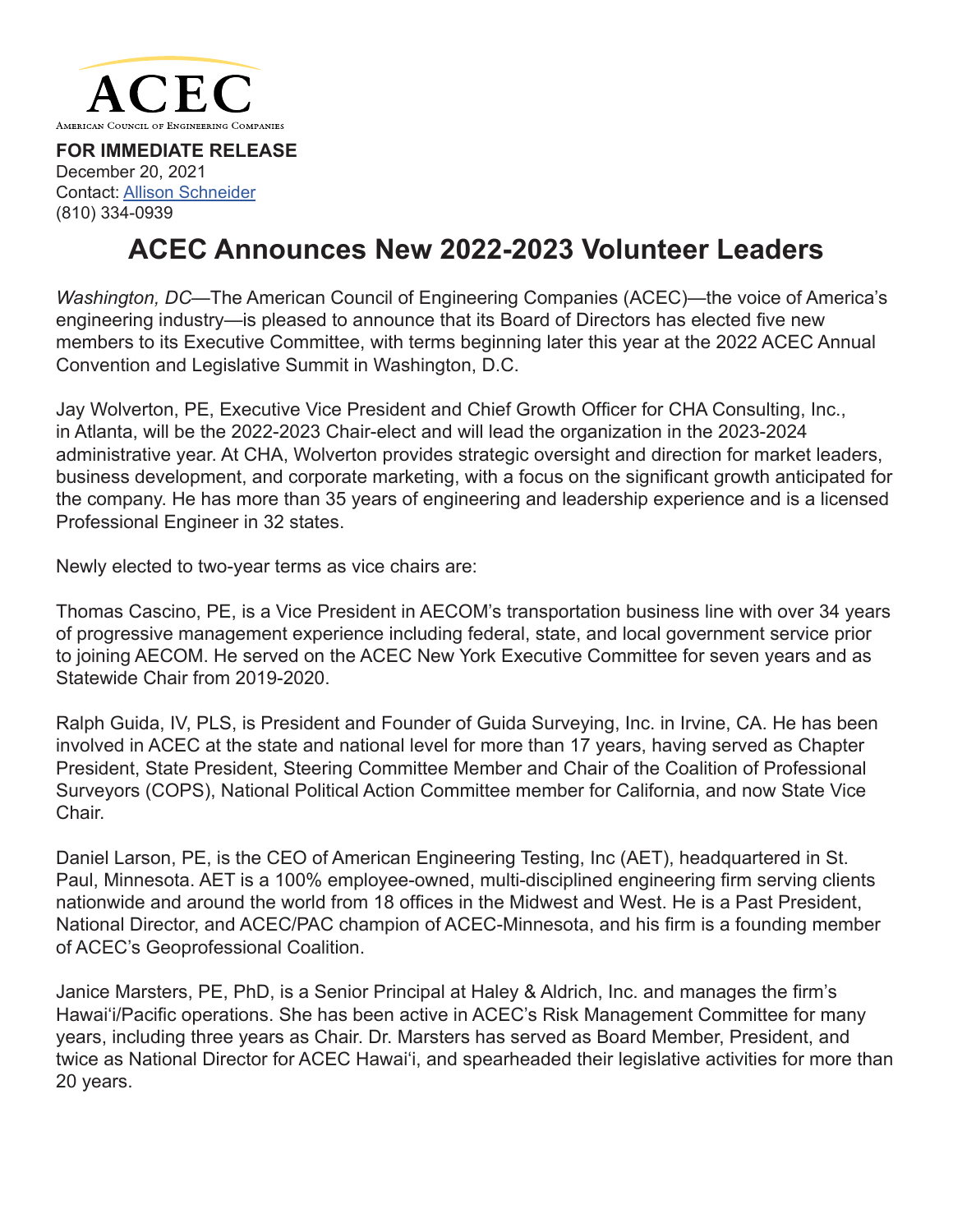

**FOR IMMEDIATE RELEASE** December 20, 2021 Contact: [Allison Schneider](mailto:aschneider%40acec.org?subject=) [\(810\) 334-0939](mailto:?subject=)

## **ACEC Announces New 2022-2023 Volunteer Leaders**

*Washington, DC—*The American Council of Engineering Companies (ACEC)—the voice of America's engineering industry—is pleased to announce that its Board of Directors has elected five new members to its Executive Committee, with terms beginning later this year at the 2022 ACEC Annual Convention and Legislative Summit in Washington, D.C.

Jay Wolverton, PE, Executive Vice President and Chief Growth Officer for CHA Consulting, Inc., in Atlanta, will be the 2022-2023 Chair-elect and will lead the organization in the 2023-2024 administrative year. At CHA, Wolverton provides strategic oversight and direction for market leaders, business development, and corporate marketing, with a focus on the significant growth anticipated for the company. He has more than 35 years of engineering and leadership experience and is a licensed Professional Engineer in 32 states.

Newly elected to two-year terms as vice chairs are:

Thomas Cascino, PE, is a Vice President in AECOM's transportation business line with over 34 years of progressive management experience including federal, state, and local government service prior to joining AECOM. He served on the ACEC New York Executive Committee for seven years and as Statewide Chair from 2019-2020.

Ralph Guida, IV, PLS, is President and Founder of Guida Surveying, Inc. in Irvine, CA. He has been involved in ACEC at the state and national level for more than 17 years, having served as Chapter President, State President, Steering Committee Member and Chair of the Coalition of Professional Surveyors (COPS), National Political Action Committee member for California, and now State Vice Chair.

Daniel Larson, PE, is the CEO of American Engineering Testing, Inc (AET), headquartered in St. Paul, Minnesota. AET is a 100% employee-owned, multi-disciplined engineering firm serving clients nationwide and around the world from 18 offices in the Midwest and West. He is a Past President, National Director, and ACEC/PAC champion of ACEC-Minnesota, and his firm is a founding member of ACEC's Geoprofessional Coalition.

Janice Marsters, PE, PhD, is a Senior Principal at Haley & Aldrich, Inc. and manages the firm's Hawai'i/Pacific operations. She has been active in ACEC's Risk Management Committee for many years, including three years as Chair. Dr. Marsters has served as Board Member, President, and twice as National Director for ACEC Hawai'i, and spearheaded their legislative activities for more than 20 years.